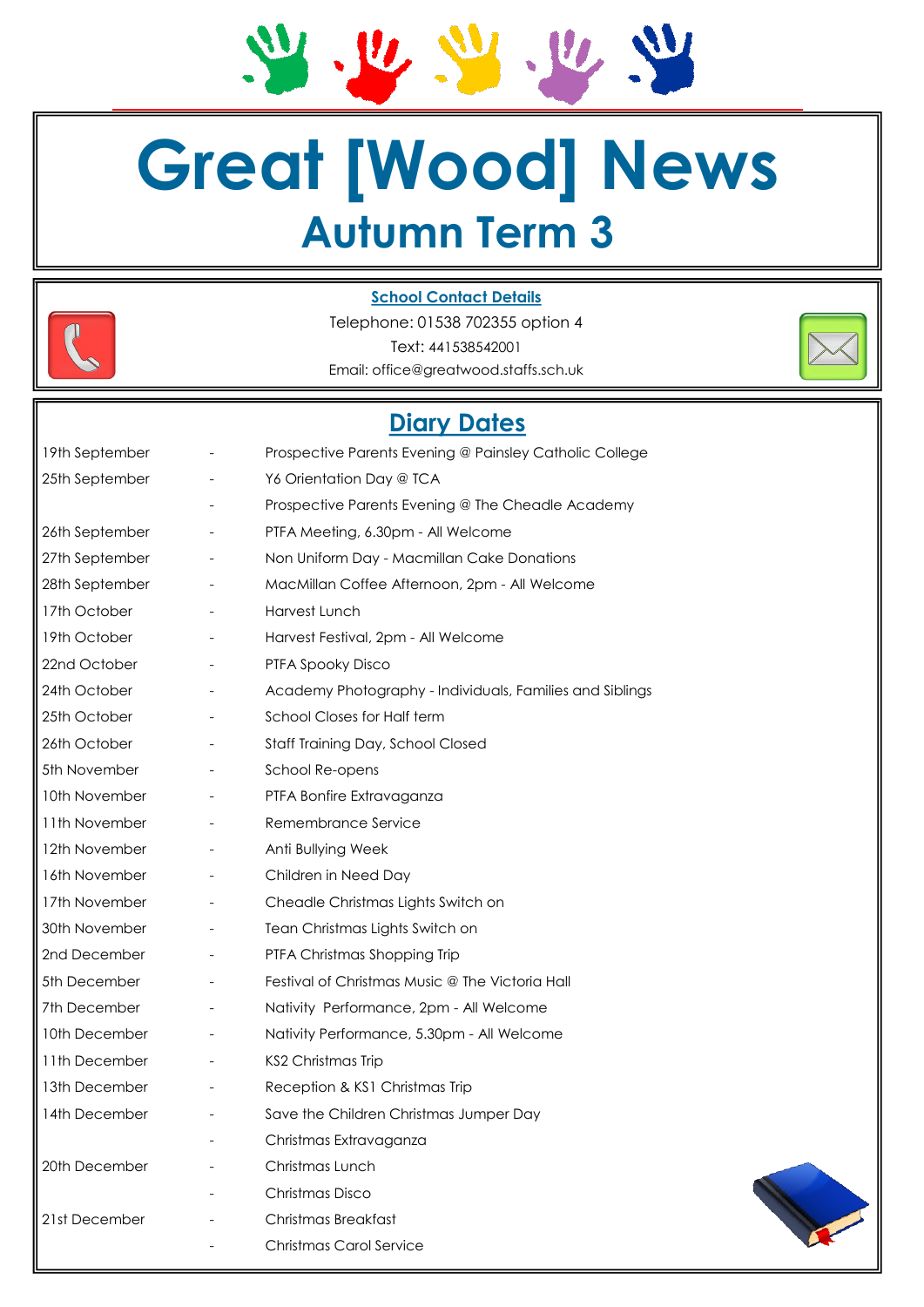# **Great [Wood] News Autumn Term 3**

M. R. M. R. M



#### **School Contact Details**

Telephone: 01538 702355 option 4 Text: 441538542001 Email: office@greatwood.staffs.sch.uk



| 19th September |                          | Prospective Parents Evening @ Painsley Catholic College  |
|----------------|--------------------------|----------------------------------------------------------|
| 25th September |                          | Y6 Orientation Day @ TCA                                 |
|                |                          | Prospective Parents Evening @ The Cheadle Academy        |
| 26th September | $\overline{\phantom{a}}$ | PTFA Meeting, 6.30pm - All Welcome                       |
| 27th September | $\overline{\phantom{a}}$ | Non Uniform Day - Macmillan Cake Donations               |
| 28th September | $\overline{\phantom{a}}$ | MacMillan Coffee Afternoon, 2pm - All Welcome            |
| 17th October   |                          | Harvest Lunch                                            |
| 19th October   |                          | Harvest Festival, 2pm - All Welcome                      |
| 22nd October   | $\overline{\phantom{a}}$ | PTFA Spooky Disco                                        |
| 24th October   | $\overline{\phantom{a}}$ | Academy Photography - Individuals, Families and Siblings |
| 25th October   | $\overline{\phantom{a}}$ | School Closes for Half term                              |
| 26th October   | $\overline{\phantom{a}}$ | Staff Training Day, School Closed                        |
| 5th November   |                          | School Re-opens                                          |
| 10th November  |                          | PTFA Bonfire Extravaganza                                |
| 11th November  |                          | Remembrance Service                                      |
| 12th November  | $\qquad \qquad -$        | Anti Bullying Week                                       |
| 16th November  | $\overline{\phantom{a}}$ | Children in Need Day                                     |
| 17th November  | $\overline{\phantom{a}}$ | Cheadle Christmas Lights Switch on                       |
| 30th November  | $\qquad \qquad -$        | Tean Christmas Lights Switch on                          |
| 2nd December   |                          | PTFA Christmas Shopping Trip                             |
| 5th December   | $\overline{\phantom{a}}$ | Festival of Christmas Music @ The Victoria Hall          |
| 7th December   |                          | Nativity Performance, 2pm - All Welcome                  |
| 10th December  | $\overline{\phantom{a}}$ | Nativity Performance, 5.30pm - All Welcome               |
| 11th December  | $\overline{\phantom{a}}$ | KS2 Christmas Trip                                       |
| 13th December  | $\overline{\phantom{a}}$ | Reception & KS1 Christmas Trip                           |
| 14th December  |                          | Save the Children Christmas Jumper Day                   |
|                |                          | Christmas Extravaganza                                   |
| 20th December  |                          | Christmas Lunch                                          |
|                |                          | Christmas Disco                                          |
| 21st December  |                          | Christmas Breakfast                                      |
|                |                          | <b>Christmas Carol Service</b>                           |

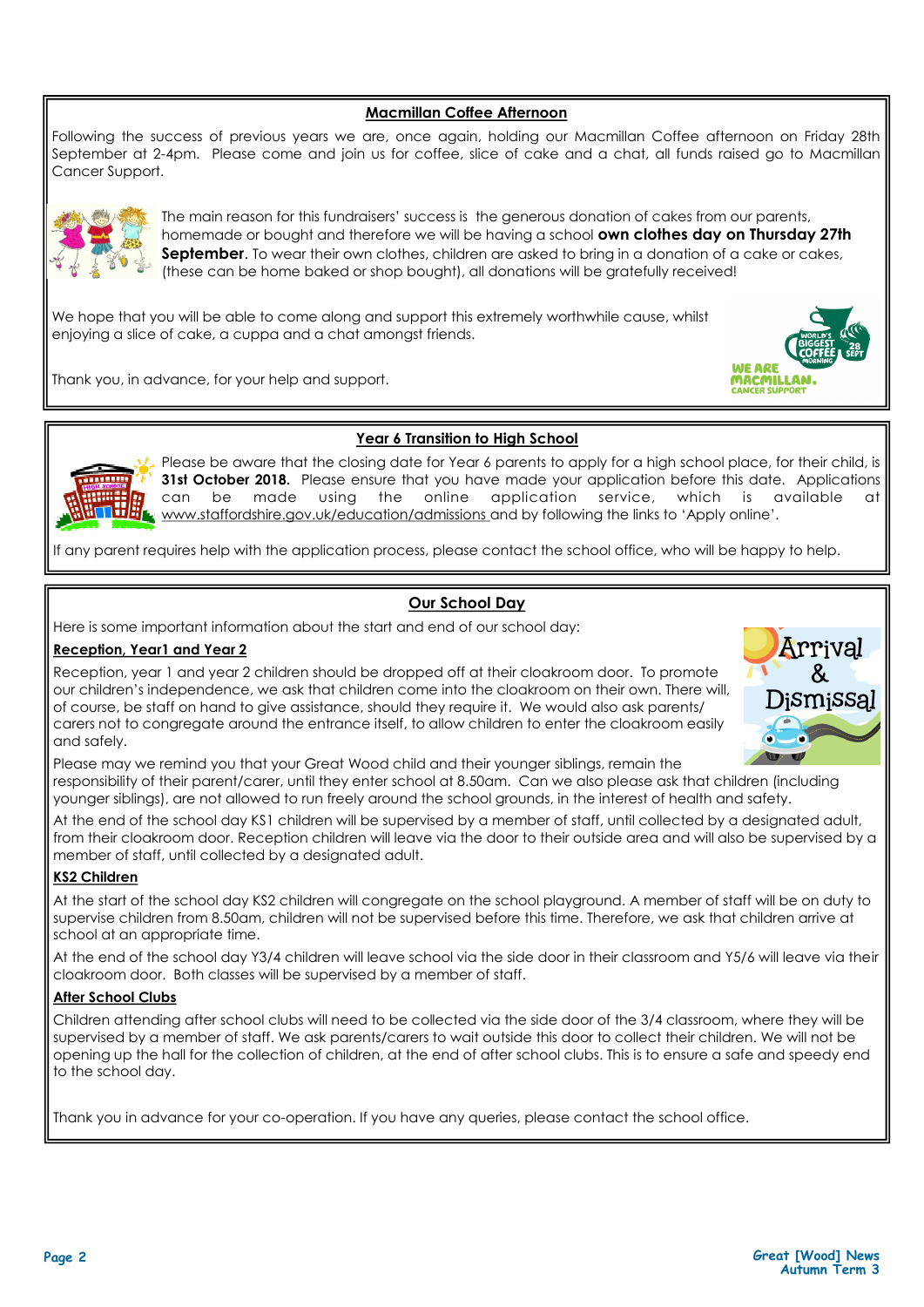#### **Macmillan Coffee Afternoon**

Following the success of previous years we are, once again, holding our Macmillan Coffee afternoon on Friday 28th September at 2-4pm. Please come and join us for coffee, slice of cake and a chat, all funds raised go to Macmillan Cancer Support.



The main reason for this fundraisers' success is the generous donation of cakes from our parents, homemade or bought and therefore we will be having a school **own clothes day on Thursday 27th September**. To wear their own clothes, children are asked to bring in a donation of a cake or cakes, (these can be home baked or shop bought), all donations will be gratefully received!

We hope that you will be able to come along and support this extremely worthwhile cause, whilst enjoying a slice of cake, a cuppa and a chat amongst friends.

Thank you, in advance, for your help and support.



#### **Year 6 Transition to High School**

Please be aware that the closing date for Year 6 parents to apply for a high school place, for their child, is **31st October 2018.** Please ensure that you have made your application before this date. Applications can be made using the online application service, which is available at www.staffordshire.gov.uk/education/admissions and by following the links to 'Apply online'.

If any parent requires help with the application process, please contact the school office, who will be happy to help.

#### **Our School Day**

Here is some important information about the start and end of our school day:

#### **Reception, Year1 and Year 2**

Reception, year 1 and year 2 children should be dropped off at their cloakroom door. To promote our children's independence, we ask that children come into the cloakroom on their own. There will, of course, be staff on hand to give assistance, should they require it. We would also ask parents/ carers not to congregate around the entrance itself, to allow children to enter the cloakroom easily and safely.



Please may we remind you that your Great Wood child and their younger siblings, remain the responsibility of their parent/carer, until they enter school at 8.50am. Can we also please ask that children (including younger siblings), are not allowed to run freely around the school grounds, in the interest of health and safety.

At the end of the school day KS1 children will be supervised by a member of staff, until collected by a designated adult, from their cloakroom door. Reception children will leave via the door to their outside area and will also be supervised by a member of staff, until collected by a designated adult.

#### **KS2 Children**

At the start of the school day KS2 children will congregate on the school playground. A member of staff will be on duty to supervise children from 8.50am, children will not be supervised before this time. Therefore, we ask that children arrive at school at an appropriate time.

At the end of the school day Y3/4 children will leave school via the side door in their classroom and Y5/6 will leave via their cloakroom door. Both classes will be supervised by a member of staff.

#### **After School Clubs**

Children attending after school clubs will need to be collected via the side door of the 3/4 classroom, where they will be supervised by a member of staff. We ask parents/carers to wait outside this door to collect their children. We will not be opening up the hall for the collection of children, at the end of after school clubs. This is to ensure a safe and speedy end to the school day.

Thank you in advance for your co-operation. If you have any queries, please contact the school office.